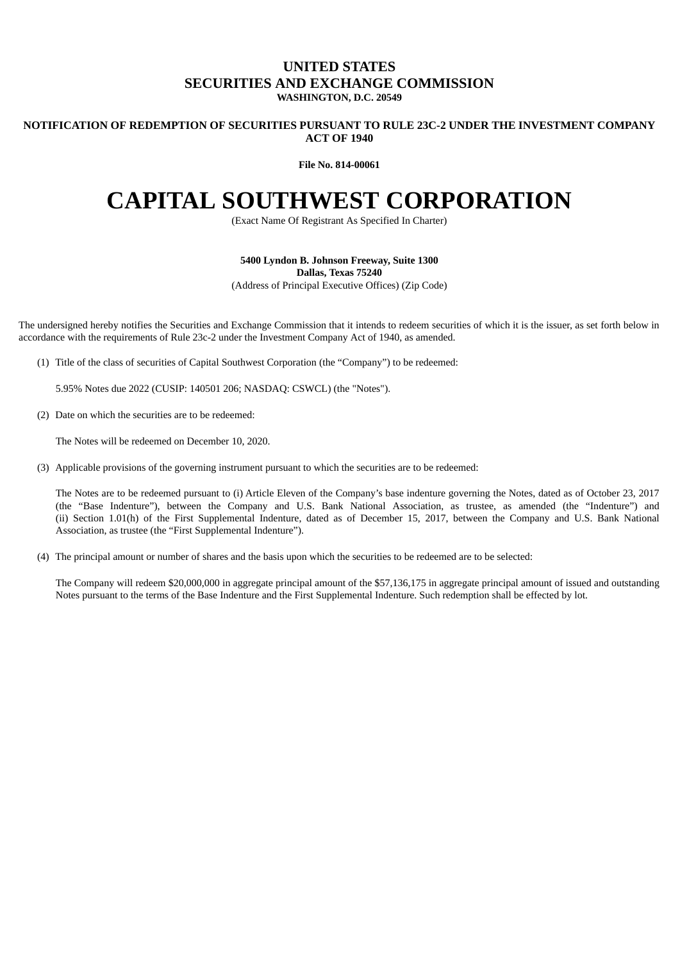## **UNITED STATES SECURITIES AND EXCHANGE COMMISSION WASHINGTON, D.C. 20549**

### **NOTIFICATION OF REDEMPTION OF SECURITIES PURSUANT TO RULE 23C-2 UNDER THE INVESTMENT COMPANY ACT OF 1940**

**File No. 814-00061**

# **CAPITAL SOUTHWEST CORPORATION**

(Exact Name Of Registrant As Specified In Charter)

**5400 Lyndon B. Johnson Freeway, Suite 1300 Dallas, Texas 75240** (Address of Principal Executive Offices) (Zip Code)

The undersigned hereby notifies the Securities and Exchange Commission that it intends to redeem securities of which it is the issuer, as set forth below in accordance with the requirements of Rule 23c-2 under the Investment Company Act of 1940, as amended.

(1) Title of the class of securities of Capital Southwest Corporation (the "Company") to be redeemed:

5.95% Notes due 2022 (CUSIP: 140501 206; NASDAQ: CSWCL) (the "Notes").

(2) Date on which the securities are to be redeemed:

The Notes will be redeemed on December 10, 2020.

(3) Applicable provisions of the governing instrument pursuant to which the securities are to be redeemed:

The Notes are to be redeemed pursuant to (i) Article Eleven of the Company's base indenture governing the Notes, dated as of October 23, 2017 (the "Base Indenture"), between the Company and U.S. Bank National Association, as trustee, as amended (the "Indenture") and (ii) Section 1.01(h) of the First Supplemental Indenture, dated as of December 15, 2017, between the Company and U.S. Bank National Association, as trustee (the "First Supplemental Indenture").

(4) The principal amount or number of shares and the basis upon which the securities to be redeemed are to be selected:

The Company will redeem \$20,000,000 in aggregate principal amount of the \$57,136,175 in aggregate principal amount of issued and outstanding Notes pursuant to the terms of the Base Indenture and the First Supplemental Indenture. Such redemption shall be effected by lot.